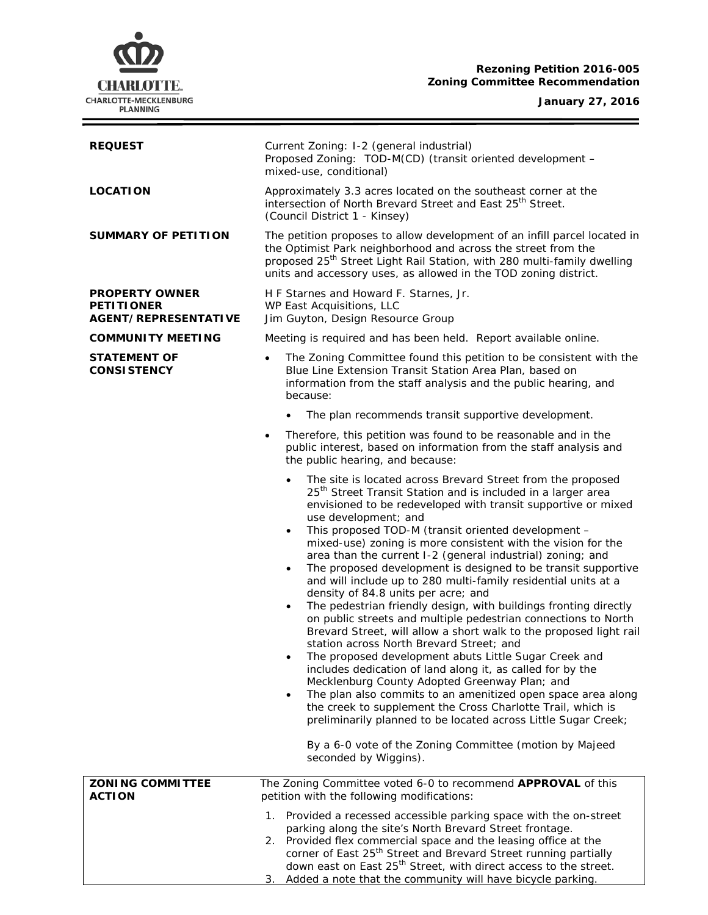# **Rezoning Petition 2016-005 Zoning Committee Recommendation**

#### **January 27, 2016**

÷



I

| <b>REQUEST</b>                                                     | Current Zoning: I-2 (general industrial)<br>Proposed Zoning: TOD-M(CD) (transit oriented development -<br>mixed-use, conditional)                                                                                                                                                                                                                                                                                                                                                                                                                                                                                                                                                                                                                                                                                                                                                                                                                                                                                                                                                                                                                                                                                                                                                                                                                                        |
|--------------------------------------------------------------------|--------------------------------------------------------------------------------------------------------------------------------------------------------------------------------------------------------------------------------------------------------------------------------------------------------------------------------------------------------------------------------------------------------------------------------------------------------------------------------------------------------------------------------------------------------------------------------------------------------------------------------------------------------------------------------------------------------------------------------------------------------------------------------------------------------------------------------------------------------------------------------------------------------------------------------------------------------------------------------------------------------------------------------------------------------------------------------------------------------------------------------------------------------------------------------------------------------------------------------------------------------------------------------------------------------------------------------------------------------------------------|
| <b>LOCATION</b>                                                    | Approximately 3.3 acres located on the southeast corner at the<br>intersection of North Brevard Street and East 25 <sup>th</sup> Street.<br>(Council District 1 - Kinsey)                                                                                                                                                                                                                                                                                                                                                                                                                                                                                                                                                                                                                                                                                                                                                                                                                                                                                                                                                                                                                                                                                                                                                                                                |
| <b>SUMMARY OF PETITION</b>                                         | The petition proposes to allow development of an infill parcel located in<br>the Optimist Park neighborhood and across the street from the<br>proposed 25 <sup>th</sup> Street Light Rail Station, with 280 multi-family dwelling<br>units and accessory uses, as allowed in the TOD zoning district.                                                                                                                                                                                                                                                                                                                                                                                                                                                                                                                                                                                                                                                                                                                                                                                                                                                                                                                                                                                                                                                                    |
| <b>PROPERTY OWNER</b><br><b>PETITIONER</b><br>AGENT/REPRESENTATIVE | H F Starnes and Howard F. Starnes, Jr.<br>WP East Acquisitions, LLC<br>Jim Guyton, Design Resource Group                                                                                                                                                                                                                                                                                                                                                                                                                                                                                                                                                                                                                                                                                                                                                                                                                                                                                                                                                                                                                                                                                                                                                                                                                                                                 |
| <b>COMMUNITY MEETING</b>                                           | Meeting is required and has been held. Report available online.                                                                                                                                                                                                                                                                                                                                                                                                                                                                                                                                                                                                                                                                                                                                                                                                                                                                                                                                                                                                                                                                                                                                                                                                                                                                                                          |
| <b>STATEMENT OF</b><br><b>CONSISTENCY</b>                          | The Zoning Committee found this petition to be consistent with the<br>$\bullet$<br>Blue Line Extension Transit Station Area Plan, based on<br>information from the staff analysis and the public hearing, and<br>because:                                                                                                                                                                                                                                                                                                                                                                                                                                                                                                                                                                                                                                                                                                                                                                                                                                                                                                                                                                                                                                                                                                                                                |
|                                                                    | The plan recommends transit supportive development.                                                                                                                                                                                                                                                                                                                                                                                                                                                                                                                                                                                                                                                                                                                                                                                                                                                                                                                                                                                                                                                                                                                                                                                                                                                                                                                      |
|                                                                    | Therefore, this petition was found to be reasonable and in the<br>public interest, based on information from the staff analysis and<br>the public hearing, and because:                                                                                                                                                                                                                                                                                                                                                                                                                                                                                                                                                                                                                                                                                                                                                                                                                                                                                                                                                                                                                                                                                                                                                                                                  |
|                                                                    | The site is located across Brevard Street from the proposed<br>25 <sup>th</sup> Street Transit Station and is included in a larger area<br>envisioned to be redeveloped with transit supportive or mixed<br>use development; and<br>This proposed TOD-M (transit oriented development -<br>$\bullet$<br>mixed-use) zoning is more consistent with the vision for the<br>area than the current I-2 (general industrial) zoning; and<br>The proposed development is designed to be transit supportive<br>$\bullet$<br>and will include up to 280 multi-family residential units at a<br>density of 84.8 units per acre; and<br>The pedestrian friendly design, with buildings fronting directly<br>$\bullet$<br>on public streets and multiple pedestrian connections to North<br>Brevard Street, will allow a short walk to the proposed light rail<br>station across North Brevard Street; and<br>The proposed development abuts Little Sugar Creek and<br>includes dedication of land along it, as called for by the<br>Mecklenburg County Adopted Greenway Plan; and<br>The plan also commits to an amenitized open space area along<br>$\bullet$<br>the creek to supplement the Cross Charlotte Trail, which is<br>preliminarily planned to be located across Little Sugar Creek;<br>By a 6-0 vote of the Zoning Committee (motion by Majeed<br>seconded by Wiggins). |
| <b>ZONING COMMITTEE</b><br><b>ACTION</b>                           | The Zoning Committee voted 6-0 to recommend APPROVAL of this<br>petition with the following modifications:                                                                                                                                                                                                                                                                                                                                                                                                                                                                                                                                                                                                                                                                                                                                                                                                                                                                                                                                                                                                                                                                                                                                                                                                                                                               |
|                                                                    | Provided a recessed accessible parking space with the on-street<br>1.<br>parking along the site's North Brevard Street frontage.<br>2. Provided flex commercial space and the leasing office at the<br>corner of East 25 <sup>th</sup> Street and Brevard Street running partially<br>down east on East 25 <sup>th</sup> Street, with direct access to the street.<br>Added a note that the community will have bicycle parking.<br>З.                                                                                                                                                                                                                                                                                                                                                                                                                                                                                                                                                                                                                                                                                                                                                                                                                                                                                                                                   |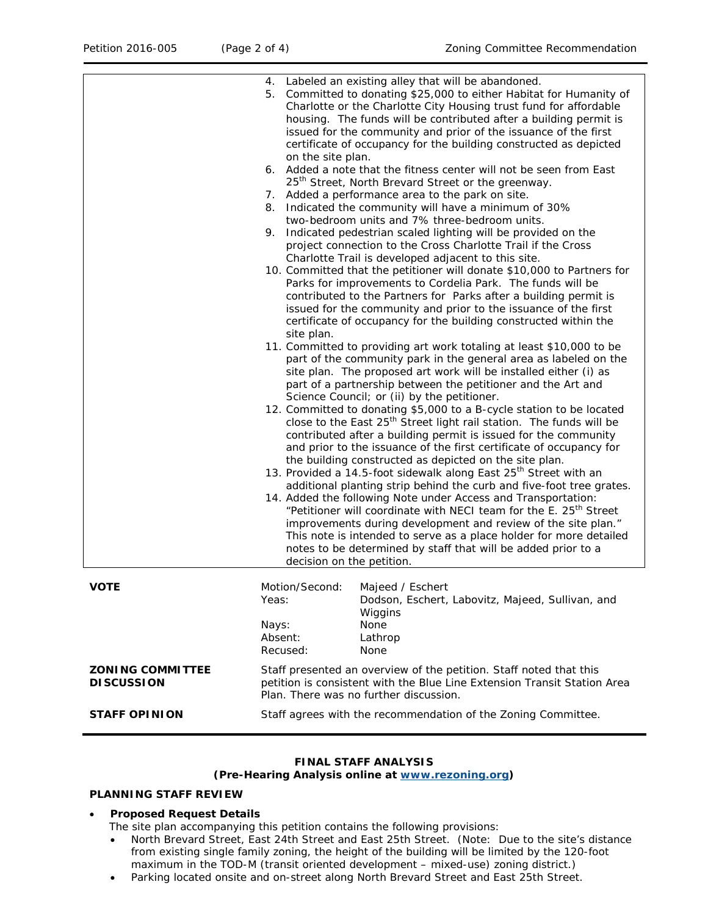|                                              | Labeled an existing alley that will be abandoned.<br>4.<br>5. Committed to donating \$25,000 to either Habitat for Humanity of<br>Charlotte or the Charlotte City Housing trust fund for affordable<br>housing. The funds will be contributed after a building permit is<br>issued for the community and prior of the issuance of the first<br>certificate of occupancy for the building constructed as depicted<br>on the site plan.<br>6. Added a note that the fitness center will not be seen from East<br>25 <sup>th</sup> Street, North Brevard Street or the greenway.<br>7. Added a performance area to the park on site.<br>8. Indicated the community will have a minimum of 30%<br>two-bedroom units and 7% three-bedroom units.<br>9. Indicated pedestrian scaled lighting will be provided on the<br>project connection to the Cross Charlotte Trail if the Cross<br>Charlotte Trail is developed adjacent to this site.<br>10. Committed that the petitioner will donate \$10,000 to Partners for<br>Parks for improvements to Cordelia Park. The funds will be<br>contributed to the Partners for Parks after a building permit is<br>issued for the community and prior to the issuance of the first<br>certificate of occupancy for the building constructed within the<br>site plan.<br>11. Committed to providing art work totaling at least \$10,000 to be<br>part of the community park in the general area as labeled on the<br>site plan. The proposed art work will be installed either (i) as<br>part of a partnership between the petitioner and the Art and<br>Science Council; or (ii) by the petitioner.<br>12. Committed to donating \$5,000 to a B-cycle station to be located<br>close to the East 25 <sup>th</sup> Street light rail station. The funds will be<br>contributed after a building permit is issued for the community<br>and prior to the issuance of the first certificate of occupancy for<br>the building constructed as depicted on the site plan.<br>13. Provided a 14.5-foot sidewalk along East 25 <sup>th</sup> Street with an<br>additional planting strip behind the curb and five-foot tree grates.<br>14. Added the following Note under Access and Transportation:<br>"Petitioner will coordinate with NECI team for the E. 25 <sup>th</sup> Street<br>improvements during development and review of the site plan."<br>This note is intended to serve as a place holder for more detailed<br>notes to be determined by staff that will be added prior to a<br>decision on the petition. |
|----------------------------------------------|-----------------------------------------------------------------------------------------------------------------------------------------------------------------------------------------------------------------------------------------------------------------------------------------------------------------------------------------------------------------------------------------------------------------------------------------------------------------------------------------------------------------------------------------------------------------------------------------------------------------------------------------------------------------------------------------------------------------------------------------------------------------------------------------------------------------------------------------------------------------------------------------------------------------------------------------------------------------------------------------------------------------------------------------------------------------------------------------------------------------------------------------------------------------------------------------------------------------------------------------------------------------------------------------------------------------------------------------------------------------------------------------------------------------------------------------------------------------------------------------------------------------------------------------------------------------------------------------------------------------------------------------------------------------------------------------------------------------------------------------------------------------------------------------------------------------------------------------------------------------------------------------------------------------------------------------------------------------------------------------------------------------------------------------------------------------------------------------------------------------------------------------------------------------------------------------------------------------------------------------------------------------------------------------------------------------------------------------------------------------------------------------------------------------------------------------------------------------------------------------------------------------------------------------------------|
| <b>VOTE</b>                                  | Motion/Second:<br>Majeed / Eschert<br>Yeas:<br>Dodson, Eschert, Labovitz, Majeed, Sullivan, and<br>Wiggins<br>None<br>Nays:<br>Absent:<br>Lathrop<br>Recused:<br>None                                                                                                                                                                                                                                                                                                                                                                                                                                                                                                                                                                                                                                                                                                                                                                                                                                                                                                                                                                                                                                                                                                                                                                                                                                                                                                                                                                                                                                                                                                                                                                                                                                                                                                                                                                                                                                                                                                                                                                                                                                                                                                                                                                                                                                                                                                                                                                               |
| <b>ZONING COMMITTEE</b><br><b>DISCUSSION</b> | Staff presented an overview of the petition. Staff noted that this<br>petition is consistent with the Blue Line Extension Transit Station Area<br>Plan. There was no further discussion.                                                                                                                                                                                                                                                                                                                                                                                                                                                                                                                                                                                                                                                                                                                                                                                                                                                                                                                                                                                                                                                                                                                                                                                                                                                                                                                                                                                                                                                                                                                                                                                                                                                                                                                                                                                                                                                                                                                                                                                                                                                                                                                                                                                                                                                                                                                                                            |
| <b>STAFF OPINION</b>                         | Staff agrees with the recommendation of the Zoning Committee.                                                                                                                                                                                                                                                                                                                                                                                                                                                                                                                                                                                                                                                                                                                                                                                                                                                                                                                                                                                                                                                                                                                                                                                                                                                                                                                                                                                                                                                                                                                                                                                                                                                                                                                                                                                                                                                                                                                                                                                                                                                                                                                                                                                                                                                                                                                                                                                                                                                                                       |

#### **FINAL STAFF ANALYSIS**

# **(Pre-Hearing Analysis online at [www.rezoning.org\)](http://www.rezoning.org/)**

# **PLANNING STAFF REVIEW**

#### • **Proposed Request Details**

The site plan accompanying this petition contains the following provisions:

- North Brevard Street, East 24th Street and East 25th Street. (Note: Due to the site's distance from existing single family zoning, the height of the building will be limited by the 120-foot maximum in the TOD-M (transit oriented development – mixed-use) zoning district.)
- Parking located onsite and on-street along North Brevard Street and East 25th Street.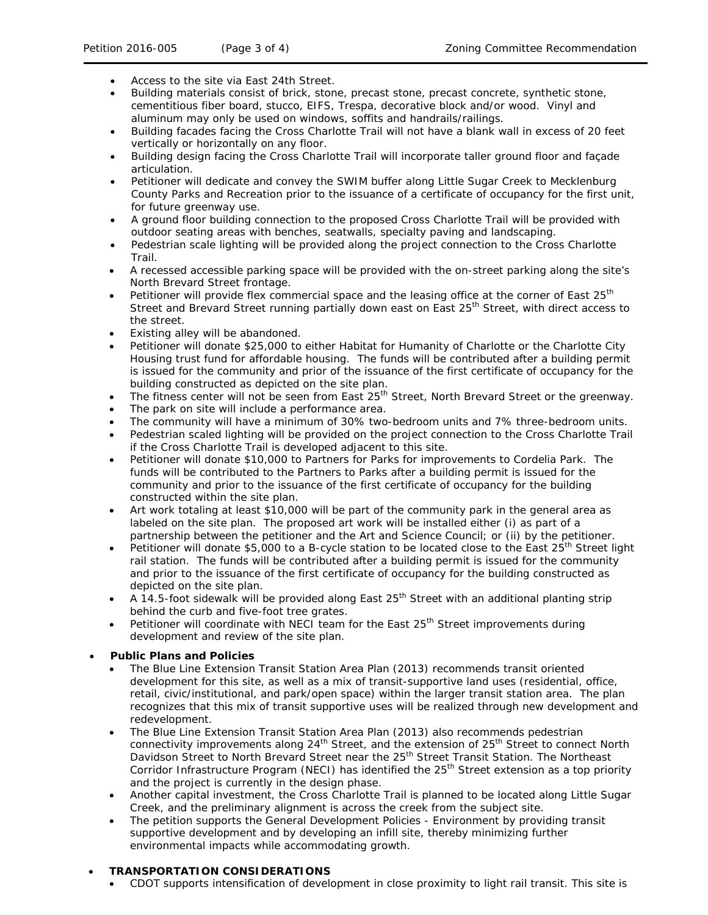- Access to the site via East 24th Street.
- Building materials consist of brick, stone, precast stone, precast concrete, synthetic stone, cementitious fiber board, stucco, EIFS, Trespa, decorative block and/or wood. Vinyl and aluminum may only be used on windows, soffits and handrails/railings.
- Building facades facing the Cross Charlotte Trail will not have a blank wall in excess of 20 feet vertically or horizontally on any floor.
- Building design facing the Cross Charlotte Trail will incorporate taller ground floor and façade articulation.
- Petitioner will dedicate and convey the SWIM buffer along Little Sugar Creek to Mecklenburg County Parks and Recreation prior to the issuance of a certificate of occupancy for the first unit, for future greenway use.
- A ground floor building connection to the proposed Cross Charlotte Trail will be provided with outdoor seating areas with benches, seatwalls, specialty paving and landscaping.
- Pedestrian scale lighting will be provided along the project connection to the Cross Charlotte Trail.
- A recessed accessible parking space will be provided with the on-street parking along the site's North Brevard Street frontage.
- Petitioner will provide flex commercial space and the leasing office at the corner of East 25<sup>th</sup> Street and Brevard Street running partially down east on East 25<sup>th</sup> Street, with direct access to the street.
- Existing alley will be abandoned.
- Petitioner will donate \$25,000 to either Habitat for Humanity of Charlotte or the Charlotte City Housing trust fund for affordable housing. The funds will be contributed after a building permit is issued for the community and prior of the issuance of the first certificate of occupancy for the building constructed as depicted on the site plan.
- The fitness center will not be seen from East 25<sup>th</sup> Street, North Brevard Street or the greenway.
- The park on site will include a performance area.
- The community will have a minimum of 30% two-bedroom units and 7% three-bedroom units.
- Pedestrian scaled lighting will be provided on the project connection to the Cross Charlotte Trail if the Cross Charlotte Trail is developed adjacent to this site.
- Petitioner will donate \$10,000 to Partners for Parks for improvements to Cordelia Park. The funds will be contributed to the Partners to Parks after a building permit is issued for the community and prior to the issuance of the first certificate of occupancy for the building constructed within the site plan.
- Art work totaling at least \$10,000 will be part of the community park in the general area as labeled on the site plan. The proposed art work will be installed either (i) as part of a partnership between the petitioner and the Art and Science Council; or (ii) by the petitioner.
- Petitioner will donate \$5,000 to a B-cycle station to be located close to the East 25<sup>th</sup> Street light rail station. The funds will be contributed after a building permit is issued for the community and prior to the issuance of the first certificate of occupancy for the building constructed as depicted on the site plan.
- A 14.5-foot sidewalk will be provided along East 25<sup>th</sup> Street with an additional planting strip behind the curb and five-foot tree grates.
- Petitioner will coordinate with NECI team for the East  $25<sup>th</sup>$  Street improvements during development and review of the site plan.

# • **Public Plans and Policies**

- The *Blue Line Extension Transit Station Area Plan* (2013) recommends transit oriented development for this site, as well as a mix of transit-supportive land uses (residential, office, retail, civic/institutional, and park/open space) within the larger transit station area. The plan recognizes that this mix of transit supportive uses will be realized through new development and redevelopment.
- The *Blue Line Extension Transit Station Area Plan* (2013) also recommends pedestrian connectivity improvements along 24<sup>th</sup> Street, and the extension of 25<sup>th</sup> Street to connect North Davidson Street to North Brevard Street near the 25<sup>th</sup> Street Transit Station. The Northeast Corridor Infrastructure Program (NECI) has identified the  $25<sup>th</sup>$  Street extension as a top priority and the project is currently in the design phase.
- Another capital investment, the Cross Charlotte Trail is planned to be located along Little Sugar Creek, and the preliminary alignment is across the creek from the subject site.
- The petition supports the *General Development Policies - Environment* by providing transit supportive development and by developing an infill site, thereby minimizing further environmental impacts while accommodating growth.

# • **TRANSPORTATION CONSIDERATIONS**

• CDOT supports intensification of development in close proximity to light rail transit. This site is